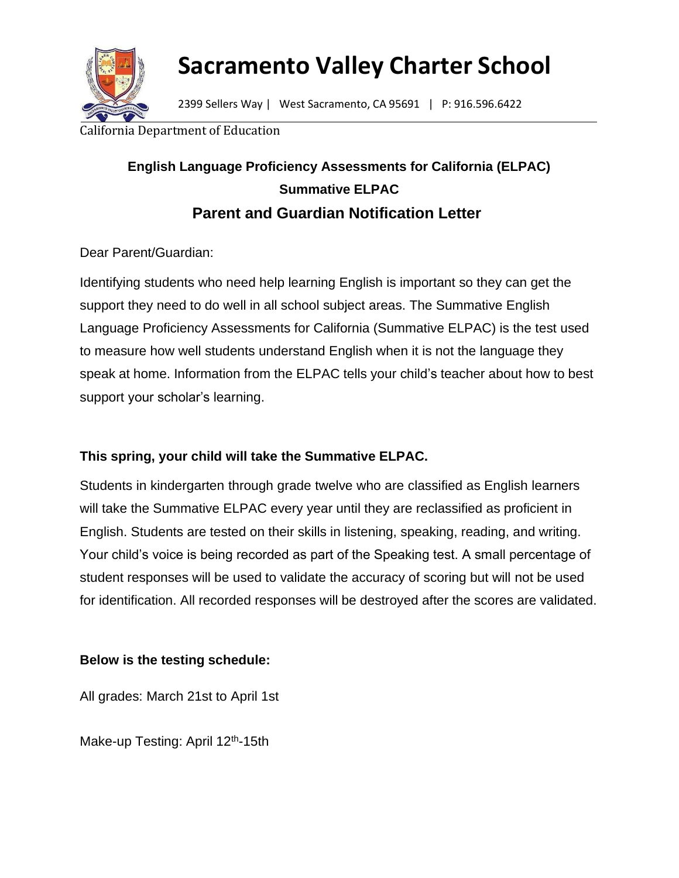

# **Sacramento Valley Charter School**

2399 Sellers Way | West Sacramento, CA 95691 | P: 916.596.6422

#### ornia Department of Education

## **English Language Proficiency Assessments for California (ELPAC) Summative ELPAC Parent and Guardian Notification Letter**

Dear Parent/Guardian:

Identifying students who need help learning English is important so they can get the support they need to do well in all school subject areas. The Summative English Language Proficiency Assessments for California (Summative ELPAC) is the test used to measure how well students understand English when it is not the language they speak at home. Information from the ELPAC tells your child's teacher about how to best support your scholar's learning.

### **This spring, your child will take the Summative ELPAC.**

Students in kindergarten through grade twelve who are classified as English learners will take the Summative ELPAC every year until they are reclassified as proficient in English. Students are tested on their skills in listening, speaking, reading, and writing. Your child's voice is being recorded as part of the Speaking test. A small percentage of student responses will be used to validate the accuracy of scoring but will not be used for identification. All recorded responses will be destroyed after the scores are validated.

### **Below is the testing schedule:**

All grades: March 21st to April 1st

Make-up Testing: April 12<sup>th</sup>-15th